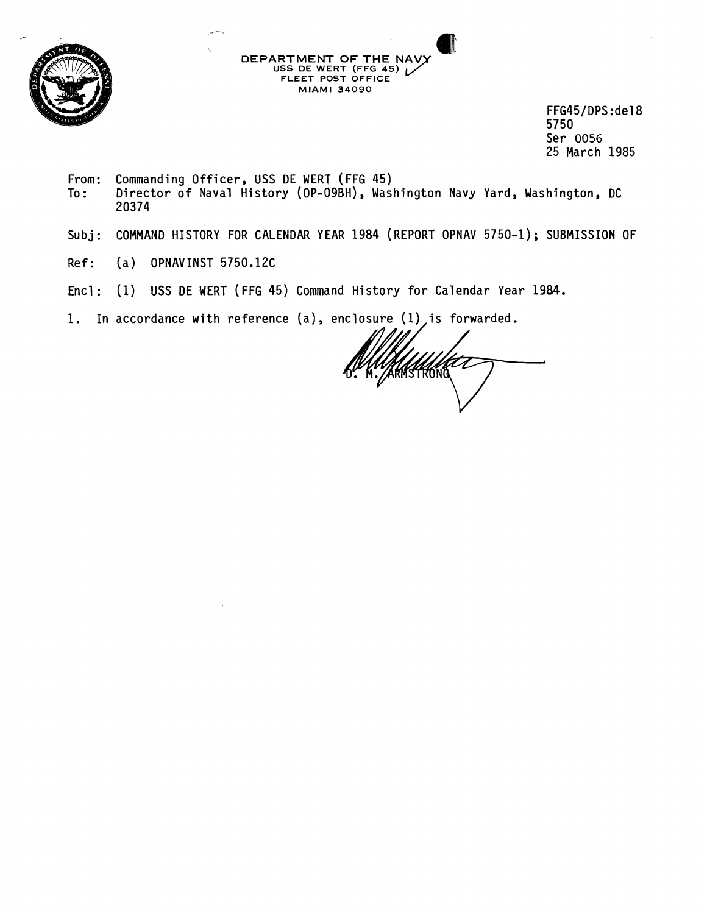

FFG45/DPS:de18 5750 Ser 0056 25 March 1985

From: Commanding Officer, USS DE WERT (FFG 45)<br>To: Director of Naval History (OP-O9BH), Was Director of Naval History (OP-09BH), Washington Navy Yard, Washington, DC 20374

**DEPARTMENT OF THE NAV)** 

**MIAMI 34090** 

**URTMENT OF THE NAVY<br>USS DE WERT (FFG 45) INVERTAGE EN 1998**<br>FLEET POST OFFICE

- Subj: COMMAND HISTORY FOR CALENDAR YEAR 1984 (REPORT OPNAV 5750-1) ; SUBMISSION OF
- Ref: (a) OPNAVINST 5750.12C
- Encl : (1) USS **BE** WERT (FFG 45) Command History for Calendar Year 1984.
- 1. In accordance with reference (a), enclosure (1) is forwarded.

ALAMSTRONG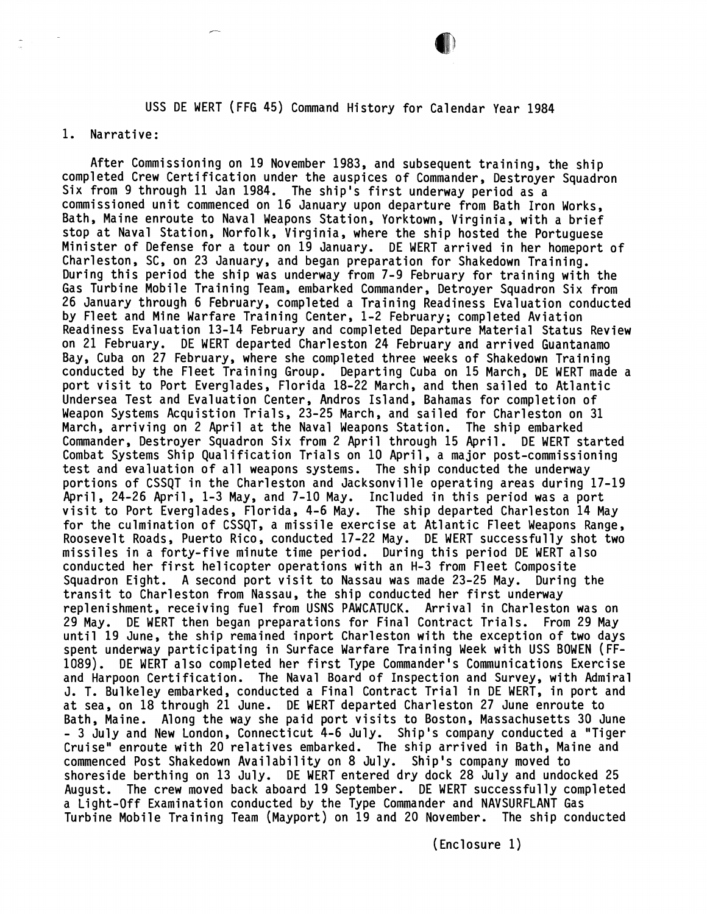## USS DE WERT (FFG 45) Command History for Calendar Year 1984

## 1. Narrative:

After Commissioning on 19 November 1983, and subsequent training, the ship completed Crew Certification under the auspices of Commander, Destroyer Squadron Six from 9 through 11 Jan 1984. The ship's first underway period as a commissioned unit commenced on 16 January upon departure from Bath Iron Works, Bath, Maine enroute to Naval Weapons Station, Yorktown, Virginia, with a brief stop at Naval Station, Norfolk, Virginia, where the ship hosted the Portuguese Minister of Defense for a tour on 19 January. DE WERT arrived in her homeport of Charleston, SC, on 23 January, and began preparation for Shakedown Training. During this period the ship was underway from 7-9 February for training with the Gas Turbine Mobile Training Team, embarked Commander, Detroyer Squadron Six from 26 January through 6 February, completed a Training Readiness Evaluation conducted by Fleet and Mine Warfare Training Center, 1-2 February; completed Aviation Readiness Evaluation 13-14 February and completed Departure Material Status Review on 21 February. DE WERT departed Charleston 24 February and arrived Guantanamo Bay, Cuba on 27 February, where she completed three weeks of Shakedown Training conducted by the Fleet Training Group. Departing Cuba on 15 March, DE WERT made a port visit to Port Everglades, Florida 18-22 March, and then sailed to Atlantic Undersea Test and Evaluation Center, kndros Island, Bahamas for completion of Weapon Systems Acquistion Trials, 23-25 March, and sailed for Charleston on 31 March, arriving on 2 April at the Naval Weapons Station. The ship embarked Commander, Destroyer Squadron Six from 2 April through 15 April. DE WERT started Combat Systems Ship Qualification Trials on 10 April, a major post-commissioning test and evaluation of all weapons systems. The ship conducted the underway portions of CSSQT in the Charleston and Jacksonville operating areas during 17-19 April, 24-26 April, 1-3 May, and 7-10 May. Included in this period was a port visit to Port Everglades, Florida, 4-6 May. The ship departed Charleston 14 May for the culmination of CSSQT, a missile exercise at Atlantic Fleet Weapons Range, Roosevelt Roads, Puerto Rico, conducted 17-22 May. DE WERT successfully shot two missiles in a forty-five minute time period. During this period DE WERT also conducted her first helicopter operations with an H-3 from Fleet Composite Squadron Eight. A second port visit to Nassau was made 23-25 May. During the transit to Charleston from Nassau, the ship conducted her first underway replenishment, receiving fuel from USNS PAWCATUCK. Arrival in Charleston was on 29 May. DE WERT then began preparations for Final Contract Trials. From 29 May until 19 June, the ship remained inport Charleston with the exception of two days spent underway participating in Surface Warfare Training Week with USS BOWEN (FF-1089). DE WERT a1 so completed her first Type Commander's Communications Exercise and Harpoon Certification. The Naval Board of Inspection and Survey, with Admiral J. T. Bulkeley embarked, conducted a Final Contract Trial in DE WERT, in port and at sea, on 18 through 21 June. DE WERT departed Charleston 27 June enroute to Bath, Maine. Along the way she paid port visits to Boston, Massachusetts 30 June - 3 July and New London, Connecticut 4-6 July. Ship's company conducted a "Tiger Cruise" enroute with 20 relatives embarked. The ship arrived in Bath, Maine and commenced Post Shakedown Availability on 8 July. Ship's company moved to shoreside berthing on 13 July. DE WERT entered dry dock 28 July and undocked 25 August. The crew moved back aboard 19 September. DE WERT successfully completed a Light-Off Examination conducted by the Type Commander and NAVSURFLANT Gas Turbine Mobile Training Team (Mayport) on 19 and 20 November. The ship conducted

( Enclosure 1)